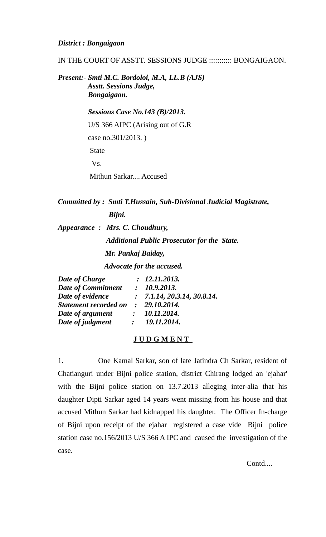*District : Bongaigaon* 

IN THE COURT OF ASSTT. SESSIONS JUDGE ::::::::::: BONGAIGAON.

*Present:- Smti M.C. Bordoloi, M.A, LL.B (AJS) Asstt. Sessions Judge, Bongaigaon.*

> *Sessions Case No.143 (B)/2013.* U/S 366 AIPC (Arising out of G.R case no.301/2013. ) **State**  Vs. Mithun Sarkar.... Accused

*Committed by : Smti T.Hussain, Sub-Divisional Judicial Magistrate, Bijni.*

*Appearance : Mrs. C. Choudhury, Additional Public Prosecutor for the State. Mr. Pankaj Baiday,* 

 *Advocate for the accused.*

| Date of Charge            | : 12.11.2013.                          |
|---------------------------|----------------------------------------|
| <b>Date of Commitment</b> | : 10.9.2013.                           |
| Date of evidence          | $\therefore$ 7.1.14, 20.3.14, 30.8.14. |
| Statement recorded on     | : 29.10.2014.                          |
| Date of argument          | 10.11.2014.                            |
| Date of judgment          | 19.11.2014.                            |

# **J U D G M E N T**

1. One Kamal Sarkar, son of late Jatindra Ch Sarkar, resident of Chatianguri under Bijni police station, district Chirang lodged an 'ejahar' with the Bijni police station on 13.7.2013 alleging inter-alia that his daughter Dipti Sarkar aged 14 years went missing from his house and that accused Mithun Sarkar had kidnapped his daughter. The Officer In-charge of Bijni upon receipt of the ejahar registered a case vide Bijni police station case no.156/2013 U/S 366 A IPC and caused the investigation of the case.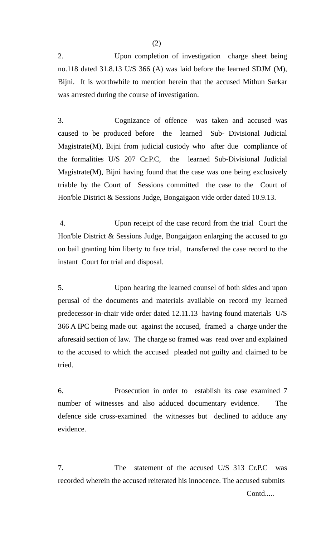2. Upon completion of investigation charge sheet being no.118 dated 31.8.13 U/S 366 (A) was laid before the learned SDJM (M), Bijni. It is worthwhile to mention herein that the accused Mithun Sarkar was arrested during the course of investigation.

3. Cognizance of offence was taken and accused was caused to be produced before the learned Sub- Divisional Judicial Magistrate(M), Bijni from judicial custody who after due compliance of the formalities U/S 207 Cr.P.C, the learned Sub-Divisional Judicial Magistrate(M), Bijni having found that the case was one being exclusively triable by the Court of Sessions committed the case to the Court of Hon'ble District & Sessions Judge, Bongaigaon vide order dated 10.9.13.

 4. Upon receipt of the case record from the trial Court the Hon'ble District & Sessions Judge, Bongaigaon enlarging the accused to go on bail granting him liberty to face trial, transferred the case record to the instant Court for trial and disposal.

5. Upon hearing the learned counsel of both sides and upon perusal of the documents and materials available on record my learned predecessor-in-chair vide order dated 12.11.13 having found materials U/S 366 A IPC being made out against the accused, framed a charge under the aforesaid section of law. The charge so framed was read over and explained to the accused to which the accused pleaded not guilty and claimed to be tried.

6. Prosecution in order to establish its case examined 7 number of witnesses and also adduced documentary evidence. The defence side cross-examined the witnesses but declined to adduce any evidence.

7. The statement of the accused U/S 313 Cr.P.C was recorded wherein the accused reiterated his innocence. The accused submits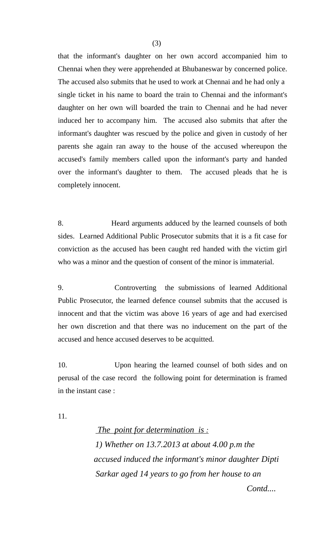that the informant's daughter on her own accord accompanied him to Chennai when they were apprehended at Bhubaneswar by concerned police. The accused also submits that he used to work at Chennai and he had only a single ticket in his name to board the train to Chennai and the informant's daughter on her own will boarded the train to Chennai and he had never induced her to accompany him. The accused also submits that after the informant's daughter was rescued by the police and given in custody of her parents she again ran away to the house of the accused whereupon the accused's family members called upon the informant's party and handed over the informant's daughter to them. The accused pleads that he is completely innocent.

8. Heard arguments adduced by the learned counsels of both sides. Learned Additional Public Prosecutor submits that it is a fit case for conviction as the accused has been caught red handed with the victim girl who was a minor and the question of consent of the minor is immaterial.

9. Controverting the submissions of learned Additional Public Prosecutor, the learned defence counsel submits that the accused is innocent and that the victim was above 16 years of age and had exercised her own discretion and that there was no inducement on the part of the accused and hence accused deserves to be acquitted.

10. Upon hearing the learned counsel of both sides and on perusal of the case record the following point for determination is framed in the instant case :

11.

 *The point for determination is : 1) Whether on 13.7.2013 at about 4.00 p.m the accused induced the informant's minor daughter Dipti Sarkar aged 14 years to go from her house to an*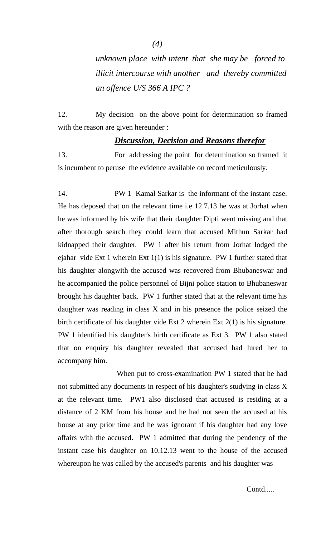*(4)*

*unknown place with intent that she may be forced to illicit intercourse with another and thereby committed an offence U/S 366 A IPC ?* 

12. My decision on the above point for determination so framed with the reason are given hereunder :

# *Discussion, Decision and Reasons therefor*

13. For addressing the point for determination so framed it is incumbent to peruse the evidence available on record meticulously.

14. PW 1 Kamal Sarkar is the informant of the instant case. He has deposed that on the relevant time i.e 12.7.13 he was at Jorhat when he was informed by his wife that their daughter Dipti went missing and that after thorough search they could learn that accused Mithun Sarkar had kidnapped their daughter. PW 1 after his return from Jorhat lodged the ejahar vide Ext 1 wherein Ext 1(1) is his signature. PW 1 further stated that his daughter alongwith the accused was recovered from Bhubaneswar and he accompanied the police personnel of Bijni police station to Bhubaneswar brought his daughter back. PW 1 further stated that at the relevant time his daughter was reading in class X and in his presence the police seized the birth certificate of his daughter vide Ext 2 wherein Ext 2(1) is his signature. PW 1 identified his daughter's birth certificate as Ext 3. PW 1 also stated that on enquiry his daughter revealed that accused had lured her to accompany him.

 When put to cross-examination PW 1 stated that he had not submitted any documents in respect of his daughter's studying in class X at the relevant time. PW1 also disclosed that accused is residing at a distance of 2 KM from his house and he had not seen the accused at his house at any prior time and he was ignorant if his daughter had any love affairs with the accused. PW 1 admitted that during the pendency of the instant case his daughter on 10.12.13 went to the house of the accused whereupon he was called by the accused's parents and his daughter was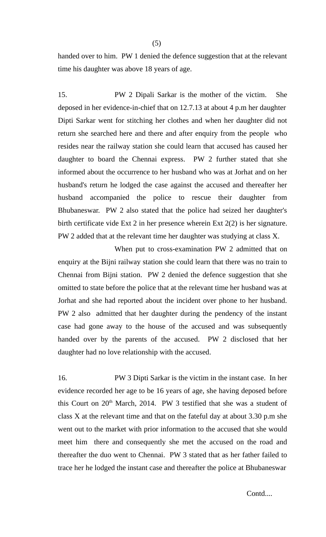handed over to him. PW 1 denied the defence suggestion that at the relevant time his daughter was above 18 years of age.

15. PW 2 Dipali Sarkar is the mother of the victim. She deposed in her evidence-in-chief that on 12.7.13 at about 4 p.m her daughter Dipti Sarkar went for stitching her clothes and when her daughter did not return she searched here and there and after enquiry from the people who resides near the railway station she could learn that accused has caused her daughter to board the Chennai express. PW 2 further stated that she informed about the occurrence to her husband who was at Jorhat and on her husband's return he lodged the case against the accused and thereafter her husband accompanied the police to rescue their daughter from Bhubaneswar. PW 2 also stated that the police had seized her daughter's birth certificate vide Ext 2 in her presence wherein Ext 2(2) is her signature. PW 2 added that at the relevant time her daughter was studying at class X.

When put to cross-examination PW 2 admitted that on enquiry at the Bijni railway station she could learn that there was no train to Chennai from Bijni station. PW 2 denied the defence suggestion that she omitted to state before the police that at the relevant time her husband was at Jorhat and she had reported about the incident over phone to her husband. PW 2 also admitted that her daughter during the pendency of the instant case had gone away to the house of the accused and was subsequently handed over by the parents of the accused. PW 2 disclosed that her daughter had no love relationship with the accused.

16. PW 3 Dipti Sarkar is the victim in the instant case. In her evidence recorded her age to be 16 years of age, she having deposed before this Court on  $20<sup>th</sup>$  March, 2014. PW 3 testified that she was a student of class  $X$  at the relevant time and that on the fateful day at about 3.30 p.m she went out to the market with prior information to the accused that she would meet him there and consequently she met the accused on the road and thereafter the duo went to Chennai. PW 3 stated that as her father failed to trace her he lodged the instant case and thereafter the police at Bhubaneswar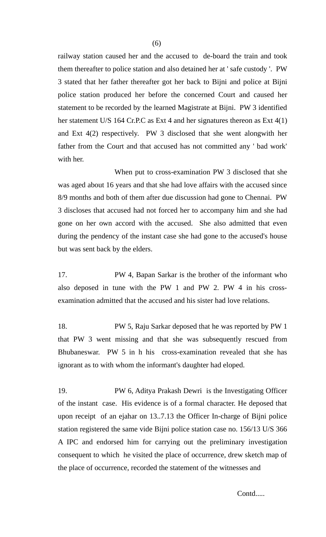railway station caused her and the accused to de-board the train and took them thereafter to police station and also detained her at ' safe custody '. PW 3 stated that her father thereafter got her back to Bijni and police at Bijni police station produced her before the concerned Court and caused her statement to be recorded by the learned Magistrate at Bijni. PW 3 identified her statement U/S 164 Cr.P.C as Ext 4 and her signatures thereon as Ext 4(1) and Ext 4(2) respectively. PW 3 disclosed that she went alongwith her father from the Court and that accused has not committed any ' bad work' with her.

When put to cross-examination PW 3 disclosed that she was aged about 16 years and that she had love affairs with the accused since 8/9 months and both of them after due discussion had gone to Chennai. PW 3 discloses that accused had not forced her to accompany him and she had gone on her own accord with the accused. She also admitted that even during the pendency of the instant case she had gone to the accused's house but was sent back by the elders.

17. PW 4, Bapan Sarkar is the brother of the informant who also deposed in tune with the PW 1 and PW 2. PW 4 in his crossexamination admitted that the accused and his sister had love relations.

18. PW 5, Raju Sarkar deposed that he was reported by PW 1 that PW 3 went missing and that she was subsequently rescued from Bhubaneswar. PW 5 in h his cross-examination revealed that she has ignorant as to with whom the informant's daughter had eloped.

19. PW 6, Aditya Prakash Dewri is the Investigating Officer of the instant case. His evidence is of a formal character. He deposed that upon receipt of an ejahar on 13..7.13 the Officer In-charge of Bijni police station registered the same vide Bijni police station case no. 156/13 U/S 366 A IPC and endorsed him for carrying out the preliminary investigation consequent to which he visited the place of occurrence, drew sketch map of the place of occurrence, recorded the statement of the witnesses and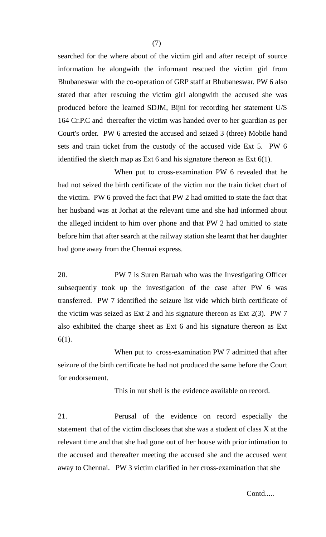searched for the where about of the victim girl and after receipt of source information he alongwith the informant rescued the victim girl from Bhubaneswar with the co-operation of GRP staff at Bhubaneswar. PW 6 also stated that after rescuing the victim girl alongwith the accused she was produced before the learned SDJM, Bijni for recording her statement U/S 164 Cr.P.C and thereafter the victim was handed over to her guardian as per Court's order. PW 6 arrested the accused and seized 3 (three) Mobile hand sets and train ticket from the custody of the accused vide Ext 5. PW 6 identified the sketch map as Ext 6 and his signature thereon as Ext 6(1).

When put to cross-examination PW 6 revealed that he had not seized the birth certificate of the victim nor the train ticket chart of the victim. PW 6 proved the fact that PW 2 had omitted to state the fact that her husband was at Jorhat at the relevant time and she had informed about the alleged incident to him over phone and that PW 2 had omitted to state before him that after search at the railway station she learnt that her daughter had gone away from the Chennai express.

20. PW 7 is Suren Baruah who was the Investigating Officer subsequently took up the investigation of the case after PW 6 was transferred. PW 7 identified the seizure list vide which birth certificate of the victim was seized as Ext 2 and his signature thereon as Ext 2(3). PW 7 also exhibited the charge sheet as Ext 6 and his signature thereon as Ext 6(1).

When put to cross-examination PW 7 admitted that after seizure of the birth certificate he had not produced the same before the Court for endorsement.

This in nut shell is the evidence available on record.

21. Perusal of the evidence on record especially the statement that of the victim discloses that she was a student of class X at the relevant time and that she had gone out of her house with prior intimation to the accused and thereafter meeting the accused she and the accused went away to Chennai. PW 3 victim clarified in her cross-examination that she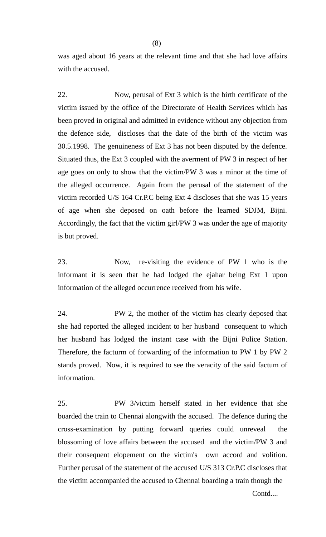was aged about 16 years at the relevant time and that she had love affairs with the accused.

22. Now, perusal of Ext 3 which is the birth certificate of the victim issued by the office of the Directorate of Health Services which has been proved in original and admitted in evidence without any objection from the defence side, discloses that the date of the birth of the victim was 30.5.1998. The genuineness of Ext 3 has not been disputed by the defence. Situated thus, the Ext 3 coupled with the averment of PW 3 in respect of her age goes on only to show that the victim/PW 3 was a minor at the time of the alleged occurrence. Again from the perusal of the statement of the victim recorded U/S 164 Cr.P.C being Ext 4 discloses that she was 15 years of age when she deposed on oath before the learned SDJM, Bijni. Accordingly, the fact that the victim girl/PW 3 was under the age of majority is but proved.

23. Now, re-visiting the evidence of PW 1 who is the informant it is seen that he had lodged the ejahar being Ext 1 upon information of the alleged occurrence received from his wife.

24. PW 2, the mother of the victim has clearly deposed that she had reported the alleged incident to her husband consequent to which her husband has lodged the instant case with the Bijni Police Station. Therefore, the facturm of forwarding of the information to PW 1 by PW 2 stands proved. Now, it is required to see the veracity of the said factum of information.

25. PW 3/victim herself stated in her evidence that she boarded the train to Chennai alongwith the accused. The defence during the cross-examination by putting forward queries could unreveal the blossoming of love affairs between the accused and the victim/PW 3 and their consequent elopement on the victim's own accord and volition. Further perusal of the statement of the accused U/S 313 Cr.P.C discloses that the victim accompanied the accused to Chennai boarding a train though the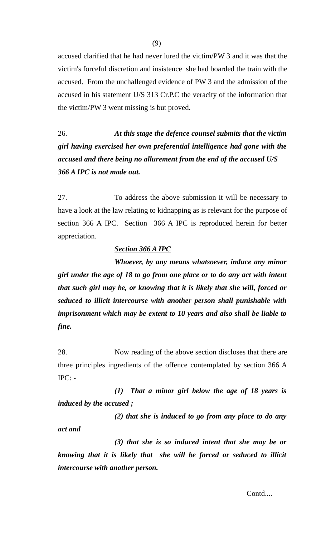accused clarified that he had never lured the victim/PW 3 and it was that the victim's forceful discretion and insistence she had boarded the train with the accused. From the unchallenged evidence of PW 3 and the admission of the accused in his statement U/S 313 Cr.P.C the veracity of the information that the victim/PW 3 went missing is but proved.

26. *At this stage the defence counsel submits that the victim girl having exercised her own preferential intelligence had gone with the accused and there being no allurement from the end of the accused U/S 366 A IPC is not made out.* 

27. To address the above submission it will be necessary to have a look at the law relating to kidnapping as is relevant for the purpose of section 366 A IPC. Section 366 A IPC is reproduced herein for better appreciation.

## *Section 366 A IPC*

*Whoever, by any means whatsoever, induce any minor girl under the age of 18 to go from one place or to do any act with intent that such girl may be, or knowing that it is likely that she will, forced or seduced to illicit intercourse with another person shall punishable with imprisonment which may be extent to 10 years and also shall be liable to fine.*

28. Now reading of the above section discloses that there are three principles ingredients of the offence contemplated by section 366 A  $IPC: -$ 

*(1) That a minor girl below the age of 18 years is induced by the accused ;* 

*(2) that she is induced to go from any place to do any act and* 

*(3) that she is so induced intent that she may be or knowing that it is likely that she will be forced or seduced to illicit intercourse with another person.*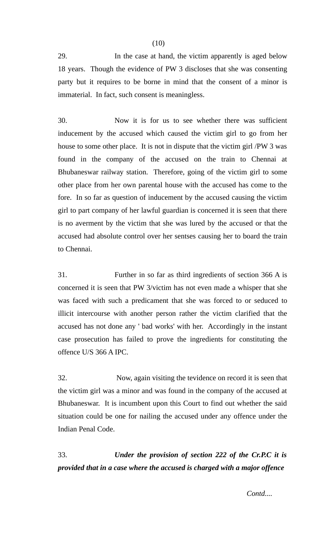29. In the case at hand, the victim apparently is aged below 18 years. Though the evidence of PW 3 discloses that she was consenting party but it requires to be borne in mind that the consent of a minor is immaterial. In fact, such consent is meaningless.

30. Now it is for us to see whether there was sufficient inducement by the accused which caused the victim girl to go from her house to some other place. It is not in dispute that the victim girl /PW 3 was found in the company of the accused on the train to Chennai at Bhubaneswar railway station. Therefore, going of the victim girl to some other place from her own parental house with the accused has come to the fore. In so far as question of inducement by the accused causing the victim girl to part company of her lawful guardian is concerned it is seen that there is no averment by the victim that she was lured by the accused or that the accused had absolute control over her sentses causing her to board the train to Chennai.

31. Further in so far as third ingredients of section 366 A is concerned it is seen that PW 3/victim has not even made a whisper that she was faced with such a predicament that she was forced to or seduced to illicit intercourse with another person rather the victim clarified that the accused has not done any ' bad works' with her. Accordingly in the instant case prosecution has failed to prove the ingredients for constituting the offence U/S 366 A IPC.

32. Now, again visiting the tevidence on record it is seen that the victim girl was a minor and was found in the company of the accused at Bhubaneswar. It is incumbent upon this Court to find out whether the said situation could be one for nailing the accused under any offence under the Indian Penal Code.

33. *Under the provision of section 222 of the Cr.P.C it is provided that in a case where the accused is charged with a major offence* 

(10)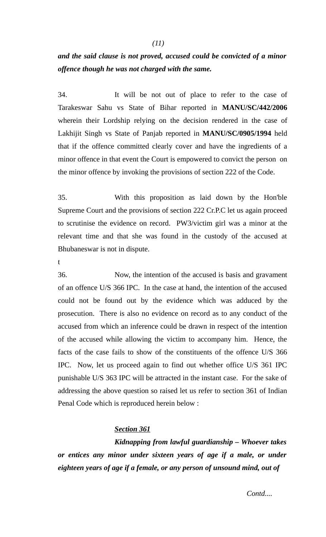# *and the said clause is not proved, accused could be convicted of a minor offence though he was not charged with the same.*

34. It will be not out of place to refer to the case of Tarakeswar Sahu vs State of Bihar reported in **MANU/SC/442/2006** wherein their Lordship relying on the decision rendered in the case of Lakhijit Singh vs State of Panjab reported in **MANU/SC/0905/1994** held that if the offence committed clearly cover and have the ingredients of a minor offence in that event the Court is empowered to convict the person on the minor offence by invoking the provisions of section 222 of the Code.

35. With this proposition as laid down by the Hon'ble Supreme Court and the provisions of section 222 Cr.P.C let us again proceed to scrutinise the evidence on record. PW3/victim girl was a minor at the relevant time and that she was found in the custody of the accused at Bhubaneswar is not in dispute.

t

36. Now, the intention of the accused is basis and gravament of an offence U/S 366 IPC. In the case at hand, the intention of the accused could not be found out by the evidence which was adduced by the prosecution. There is also no evidence on record as to any conduct of the accused from which an inference could be drawn in respect of the intention of the accused while allowing the victim to accompany him. Hence, the facts of the case fails to show of the constituents of the offence U/S 366 IPC. Now, let us proceed again to find out whether office U/S 361 IPC punishable U/S 363 IPC will be attracted in the instant case. For the sake of addressing the above question so raised let us refer to section 361 of Indian Penal Code which is reproduced herein below :

# *Section 361*

*Kidnapping from lawful guardianship – Whoever takes or entices any minor under sixteen years of age if a male, or under eighteen years of age if a female, or any person of unsound mind, out of*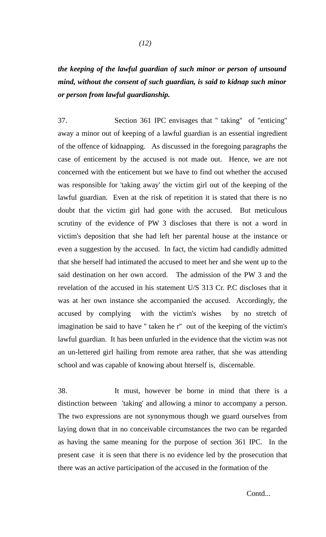# *the keeping of the lawful guardian of such minor or person of unsound mind, without the consent of such guardian, is said to kidnap such minor or person from lawful guardianship.*

37. Section 361 IPC envisages that '' taking'' of ''enticing'' away a minor out of keeping of a lawful guardian is an essential ingredient of the offence of kidnapping. As discussed in the foregoing paragraphs the case of enticement by the accused is not made out. Hence, we are not concerned with the enticement but we have to find out whether the accused was responsible for 'taking away' the victim girl out of the keeping of the lawful guardian. Even at the risk of repetition it is stated that there is no doubt that the victim girl had gone with the accused. But meticulous scrutiny of the evidence of PW 3 discloses that there is not a word in victim's deposition that she had left her parental house at the instance or even a suggestion by the accused. In fact, the victim had candidly admitted that she herself had intimated the accused to meet her and she went up to the said destination on her own accord. The admission of the PW 3 and the revelation of the accused in his statement U/S 313 Cr. P.C discloses that it was at her own instance she accompanied the accused. Accordingly, the accused by complying with the victim's wishes by no stretch of imagination be said to have '' taken he r'' out of the keeping of the victim's lawful guardian. It has been unfurled in the evidence that the victim was not an un-lettered girl hailing from remote area rather, that she was attending school and was capable of knowing about hterself is, discernable.

38. It must, however be borne in mind that there is a distinction between 'taking' and allowing a minor to accompany a person. The two expressions are not synonymous though we guard ourselves from laying down that in no conceivable circumstances the two can be regarded as having the same meaning for the purpose of section 361 IPC. In the present case it is seen that there is no evidence led by the prosecution that there was an active participation of the accused in the formation of the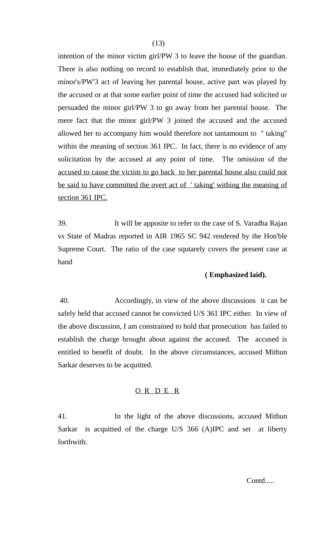intention of the minor victim girl/PW 3 to leave the house of the guardian. There is also nothing on record to establish that, immediately prior to the minor's/PW'3 act of leaving her parental house, active part was played by the accused or at that some earlier point of time the accused had solicited or persuaded the minor girl/PW 3 to go away from her parental house. The mere fact that the minor girl/PW 3 joined the accused and the accused allowed her to accompany him would therefore not tantamount to '' taking'' within the meaning of section 361 IPC. In fact, there is no evidence of any solicitation by the accused at any point of time. The omission of the accused to cause the victim to go back to her parental house also could not be said to have committed the overt act of 'taking' withing the meaning of section 361 IPC.

39. It will be apposite to refer to the case of S. Varadha Rajan vs State of Madras reported in AIR 1965 SC 942 rendered by the Hon'ble Supreme Court. The ratio of the case squtarely covers the present case at hand

#### **( Emphasized laid).**

 40. Accordingly, in view of the above discussions it can be safely held that accused cannot be convicted U/S 361 IPC either. In view of the above discussion, I am constrained to hold that prosecution has failed to establish the charge brought about against the accused. The accused is entitled to benefit of doubt. In the above circumstances, accused Mithun Sarkar deserves to be acquitted.

#### O R D E R

41. In the light of the above discussions, accused Mithun Sarkar is acquitted of the charge U/S 366 (A)IPC and set at liberty forthwith.

(13)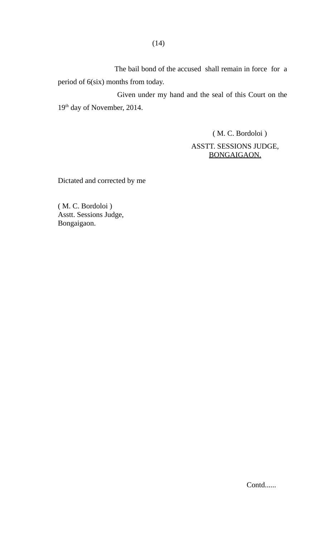The bail bond of the accused shall remain in force for a period of 6(six) months from today.

 Given under my hand and the seal of this Court on the 19<sup>th</sup> day of November, 2014.

> ( M. C. Bordoloi ) ASSTT. SESSIONS JUDGE, BONGAIGAON.

Dictated and corrected by me

( M. C. Bordoloi ) Asstt. Sessions Judge, Bongaigaon.